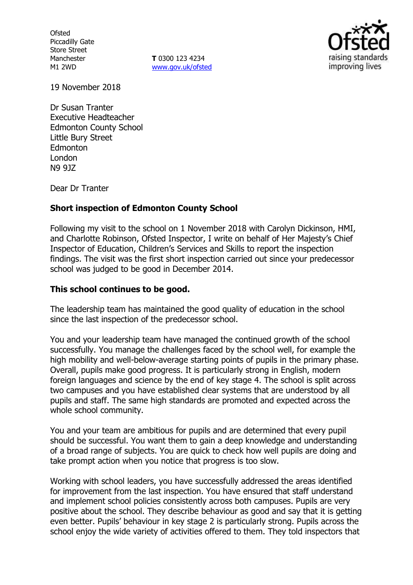**Ofsted** Piccadilly Gate Store Street Manchester M1 2WD

**T** 0300 123 4234 [www.gov.uk/ofsted](http://www.gov.uk/ofsted)



19 November 2018

Dr Susan Tranter Executive Headteacher Edmonton County School Little Bury Street Edmonton London N9 9JZ

Dear Dr Tranter

## **Short inspection of Edmonton County School**

Following my visit to the school on 1 November 2018 with Carolyn Dickinson, HMI, and Charlotte Robinson, Ofsted Inspector, I write on behalf of Her Majesty's Chief Inspector of Education, Children's Services and Skills to report the inspection findings. The visit was the first short inspection carried out since your predecessor school was judged to be good in December 2014.

### **This school continues to be good.**

The leadership team has maintained the good quality of education in the school since the last inspection of the predecessor school.

You and your leadership team have managed the continued growth of the school successfully. You manage the challenges faced by the school well, for example the high mobility and well-below-average starting points of pupils in the primary phase. Overall, pupils make good progress. It is particularly strong in English, modern foreign languages and science by the end of key stage 4. The school is split across two campuses and you have established clear systems that are understood by all pupils and staff. The same high standards are promoted and expected across the whole school community.

You and your team are ambitious for pupils and are determined that every pupil should be successful. You want them to gain a deep knowledge and understanding of a broad range of subjects. You are quick to check how well pupils are doing and take prompt action when you notice that progress is too slow.

Working with school leaders, you have successfully addressed the areas identified for improvement from the last inspection. You have ensured that staff understand and implement school policies consistently across both campuses. Pupils are very positive about the school. They describe behaviour as good and say that it is getting even better. Pupils' behaviour in key stage 2 is particularly strong. Pupils across the school enjoy the wide variety of activities offered to them. They told inspectors that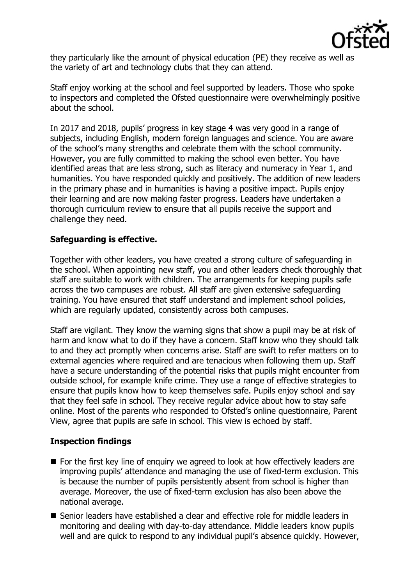

they particularly like the amount of physical education (PE) they receive as well as the variety of art and technology clubs that they can attend.

Staff enjoy working at the school and feel supported by leaders. Those who spoke to inspectors and completed the Ofsted questionnaire were overwhelmingly positive about the school.

In 2017 and 2018, pupils' progress in key stage 4 was very good in a range of subjects, including English, modern foreign languages and science. You are aware of the school's many strengths and celebrate them with the school community. However, you are fully committed to making the school even better. You have identified areas that are less strong, such as literacy and numeracy in Year 1, and humanities. You have responded quickly and positively. The addition of new leaders in the primary phase and in humanities is having a positive impact. Pupils enjoy their learning and are now making faster progress. Leaders have undertaken a thorough curriculum review to ensure that all pupils receive the support and challenge they need.

# **Safeguarding is effective.**

Together with other leaders, you have created a strong culture of safeguarding in the school. When appointing new staff, you and other leaders check thoroughly that staff are suitable to work with children. The arrangements for keeping pupils safe across the two campuses are robust. All staff are given extensive safeguarding training. You have ensured that staff understand and implement school policies, which are regularly updated, consistently across both campuses.

Staff are vigilant. They know the warning signs that show a pupil may be at risk of harm and know what to do if they have a concern. Staff know who they should talk to and they act promptly when concerns arise. Staff are swift to refer matters on to external agencies where required and are tenacious when following them up. Staff have a secure understanding of the potential risks that pupils might encounter from outside school, for example knife crime. They use a range of effective strategies to ensure that pupils know how to keep themselves safe. Pupils enjoy school and say that they feel safe in school. They receive regular advice about how to stay safe online. Most of the parents who responded to Ofsted's online questionnaire, Parent View, agree that pupils are safe in school. This view is echoed by staff.

## **Inspection findings**

- For the first key line of enquiry we agreed to look at how effectively leaders are improving pupils' attendance and managing the use of fixed-term exclusion. This is because the number of pupils persistently absent from school is higher than average. Moreover, the use of fixed-term exclusion has also been above the national average.
- Senior leaders have established a clear and effective role for middle leaders in monitoring and dealing with day-to-day attendance. Middle leaders know pupils well and are quick to respond to any individual pupil's absence quickly. However,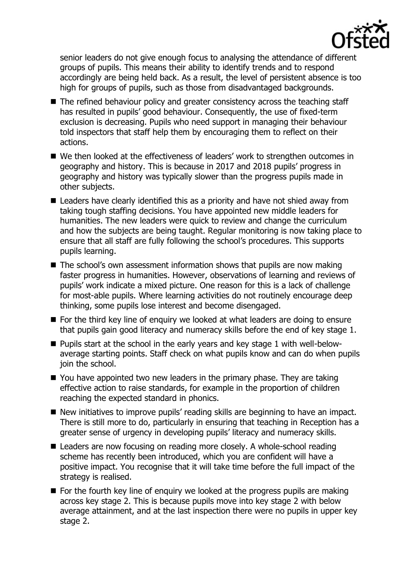

senior leaders do not give enough focus to analysing the attendance of different groups of pupils. This means their ability to identify trends and to respond accordingly are being held back. As a result, the level of persistent absence is too high for groups of pupils, such as those from disadvantaged backgrounds.

- The refined behaviour policy and greater consistency across the teaching staff has resulted in pupils' good behaviour. Consequently, the use of fixed-term exclusion is decreasing. Pupils who need support in managing their behaviour told inspectors that staff help them by encouraging them to reflect on their actions.
- We then looked at the effectiveness of leaders' work to strengthen outcomes in geography and history. This is because in 2017 and 2018 pupils' progress in geography and history was typically slower than the progress pupils made in other subjects.
- Leaders have clearly identified this as a priority and have not shied away from taking tough staffing decisions. You have appointed new middle leaders for humanities. The new leaders were quick to review and change the curriculum and how the subjects are being taught. Regular monitoring is now taking place to ensure that all staff are fully following the school's procedures. This supports pupils learning.
- $\blacksquare$  The school's own assessment information shows that pupils are now making faster progress in humanities. However, observations of learning and reviews of pupils' work indicate a mixed picture. One reason for this is a lack of challenge for most-able pupils. Where learning activities do not routinely encourage deep thinking, some pupils lose interest and become disengaged.
- For the third key line of enquiry we looked at what leaders are doing to ensure that pupils gain good literacy and numeracy skills before the end of key stage 1.
- Pupils start at the school in the early years and key stage 1 with well-belowaverage starting points. Staff check on what pupils know and can do when pupils join the school.
- You have appointed two new leaders in the primary phase. They are taking effective action to raise standards, for example in the proportion of children reaching the expected standard in phonics.
- New initiatives to improve pupils' reading skills are beginning to have an impact. There is still more to do, particularly in ensuring that teaching in Reception has a greater sense of urgency in developing pupils' literacy and numeracy skills.
- Leaders are now focusing on reading more closely. A whole-school reading scheme has recently been introduced, which you are confident will have a positive impact. You recognise that it will take time before the full impact of the strategy is realised.
- $\blacksquare$  For the fourth key line of enguiry we looked at the progress pupils are making across key stage 2. This is because pupils move into key stage 2 with below average attainment, and at the last inspection there were no pupils in upper key stage 2.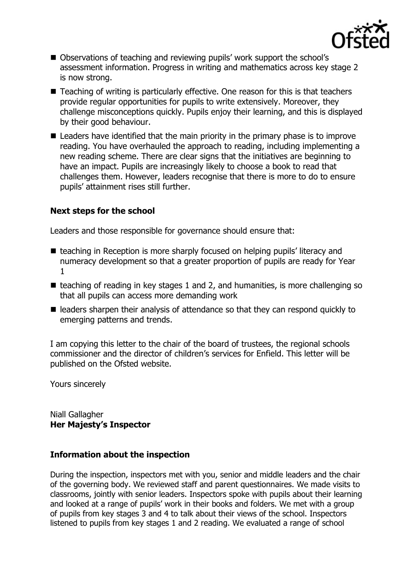

- Observations of teaching and reviewing pupils' work support the school's assessment information. Progress in writing and mathematics across key stage 2 is now strong.
- Teaching of writing is particularly effective. One reason for this is that teachers provide regular opportunities for pupils to write extensively. Moreover, they challenge misconceptions quickly. Pupils enjoy their learning, and this is displayed by their good behaviour.
- Leaders have identified that the main priority in the primary phase is to improve reading. You have overhauled the approach to reading, including implementing a new reading scheme. There are clear signs that the initiatives are beginning to have an impact. Pupils are increasingly likely to choose a book to read that challenges them. However, leaders recognise that there is more to do to ensure pupils' attainment rises still further.

## **Next steps for the school**

Leaders and those responsible for governance should ensure that:

- teaching in Reception is more sharply focused on helping pupils' literacy and numeracy development so that a greater proportion of pupils are ready for Year 1
- $\blacksquare$  teaching of reading in key stages 1 and 2, and humanities, is more challenging so that all pupils can access more demanding work
- $\blacksquare$  leaders sharpen their analysis of attendance so that they can respond quickly to emerging patterns and trends.

I am copying this letter to the chair of the board of trustees, the regional schools commissioner and the director of children's services for Enfield. This letter will be published on the Ofsted website.

Yours sincerely

Niall Gallagher **Her Majesty's Inspector**

## **Information about the inspection**

During the inspection, inspectors met with you, senior and middle leaders and the chair of the governing body. We reviewed staff and parent questionnaires. We made visits to classrooms, jointly with senior leaders. Inspectors spoke with pupils about their learning and looked at a range of pupils' work in their books and folders. We met with a group of pupils from key stages 3 and 4 to talk about their views of the school. Inspectors listened to pupils from key stages 1 and 2 reading. We evaluated a range of school